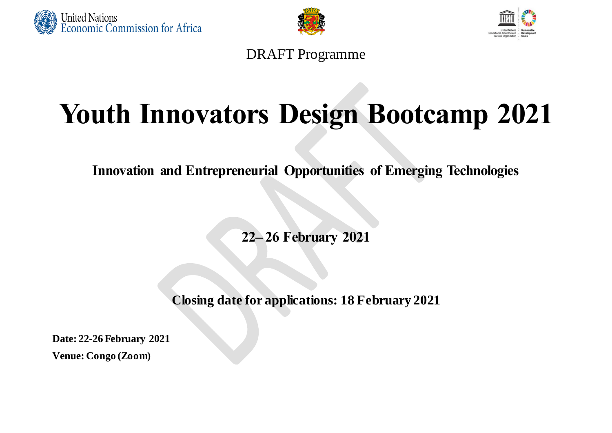





DRAFT Programme

## **Youth Innovators Design Bootcamp 2021**

**Innovation and Entrepreneurial Opportunities of Emerging Technologies**

**22– 26 February 2021**

**Closing date for applications: 18 February 2021**

**Date: 22-26 February 2021**

**Venue: Congo (Zoom)**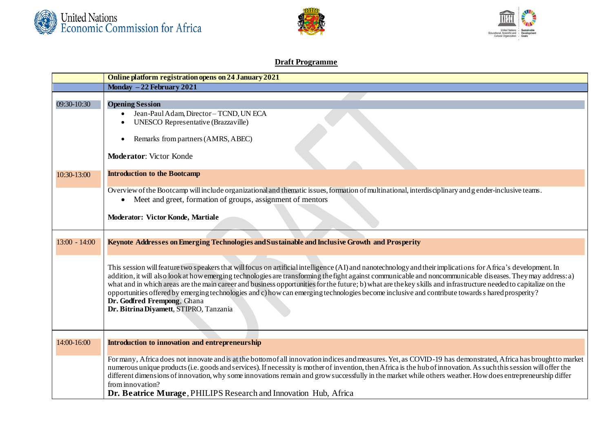





## **Draft Programme**

|                 | Online platform registration opens on 24 January 2021                                                                                                                                                                                                                                                                            |
|-----------------|----------------------------------------------------------------------------------------------------------------------------------------------------------------------------------------------------------------------------------------------------------------------------------------------------------------------------------|
|                 | Monday $-22$ February 2021                                                                                                                                                                                                                                                                                                       |
|                 |                                                                                                                                                                                                                                                                                                                                  |
| 09:30-10:30     | <b>Opening Session</b>                                                                                                                                                                                                                                                                                                           |
|                 | Jean-Paul Adam, Director-TCND, UN ECA                                                                                                                                                                                                                                                                                            |
|                 | UNESCO Representative (Brazzaville)                                                                                                                                                                                                                                                                                              |
|                 | Remarks from partners (AMRS, ABEC)<br>$\bullet$                                                                                                                                                                                                                                                                                  |
|                 |                                                                                                                                                                                                                                                                                                                                  |
|                 | <b>Moderator:</b> Victor Konde                                                                                                                                                                                                                                                                                                   |
|                 |                                                                                                                                                                                                                                                                                                                                  |
| 10:30-13:00     | <b>Introduction to the Bootcamp</b>                                                                                                                                                                                                                                                                                              |
|                 |                                                                                                                                                                                                                                                                                                                                  |
|                 | Overview of the Bootcamp will include organizational and thematic issues, formation of multinational, interdisciplinary and g ender-inclusive teams.<br>• Meet and greet, formation of groups, assignment of mentors                                                                                                             |
|                 |                                                                                                                                                                                                                                                                                                                                  |
|                 | Moderator: Victor Konde, Martiale                                                                                                                                                                                                                                                                                                |
|                 |                                                                                                                                                                                                                                                                                                                                  |
|                 |                                                                                                                                                                                                                                                                                                                                  |
| $13:00 - 14:00$ | Keynote Addresses on Emerging Technologies and Sustainable and Inclusive Growth and Prosperity                                                                                                                                                                                                                                   |
|                 |                                                                                                                                                                                                                                                                                                                                  |
|                 | This session will feature two speakers that will focus on artificial intelligence (AI) and nanotechnology and their implications for Africa's development. In                                                                                                                                                                    |
|                 | addition, it will also look at how emerging technologies are transforming the fight against communicable and noncommunicable diseases. They may address: a)                                                                                                                                                                      |
|                 | what and in which areas are the main career and business opportunities for the future; b) what are the key skills and infrastructure needed to capitalize on the                                                                                                                                                                 |
|                 | opportunities offered by emerging technologies and c) how can emerging technologies become inclusive and contribute towards s hared prosperity?                                                                                                                                                                                  |
|                 | Dr. Godfred Frempong, Ghana                                                                                                                                                                                                                                                                                                      |
|                 | Dr. Bitrina Diyamett, STIPRO, Tanzania                                                                                                                                                                                                                                                                                           |
|                 |                                                                                                                                                                                                                                                                                                                                  |
|                 |                                                                                                                                                                                                                                                                                                                                  |
| 14:00-16:00     | <b>Introduction to innovation and entrepreneurship</b>                                                                                                                                                                                                                                                                           |
|                 |                                                                                                                                                                                                                                                                                                                                  |
|                 | For many, Africa does not innovate and is at the bottom of all innovation indices and measures. Yet, as COVID-19 has demonstrated, Africa has brought to market                                                                                                                                                                  |
|                 | numerous unique products (i.e. goods and services). If necessity is mother of invention, then Africa is the hub of innovation. As such this session will offer the<br>different dimensions of innovation, why some innovations remain and grow successfully in the market while others weather. How does entrepreneurship differ |
|                 | from innovation?                                                                                                                                                                                                                                                                                                                 |
|                 | Dr. Beatrice Murage, PHILIPS Research and Innovation Hub, Africa                                                                                                                                                                                                                                                                 |
|                 |                                                                                                                                                                                                                                                                                                                                  |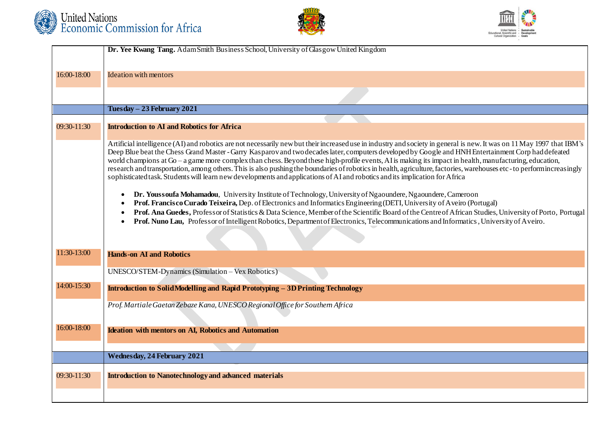





|             | Dr. Yee Kwang Tang. AdamSmith Business School, University of Glasgow United Kingdom                                                                                                                                                                                                                                                                                                                                                                                                                                                                                                                                                                                                                                                                                                             |
|-------------|-------------------------------------------------------------------------------------------------------------------------------------------------------------------------------------------------------------------------------------------------------------------------------------------------------------------------------------------------------------------------------------------------------------------------------------------------------------------------------------------------------------------------------------------------------------------------------------------------------------------------------------------------------------------------------------------------------------------------------------------------------------------------------------------------|
|             |                                                                                                                                                                                                                                                                                                                                                                                                                                                                                                                                                                                                                                                                                                                                                                                                 |
| 16:00-18:00 | <b>Ideation with mentors</b>                                                                                                                                                                                                                                                                                                                                                                                                                                                                                                                                                                                                                                                                                                                                                                    |
|             |                                                                                                                                                                                                                                                                                                                                                                                                                                                                                                                                                                                                                                                                                                                                                                                                 |
|             | Tuesday - 23 February 2021                                                                                                                                                                                                                                                                                                                                                                                                                                                                                                                                                                                                                                                                                                                                                                      |
|             |                                                                                                                                                                                                                                                                                                                                                                                                                                                                                                                                                                                                                                                                                                                                                                                                 |
| 09:30-11:30 | <b>Introduction to AI and Robotics for Africa</b>                                                                                                                                                                                                                                                                                                                                                                                                                                                                                                                                                                                                                                                                                                                                               |
|             | Artificial intelligence (AI) and robotics are not necessarily new but their increased use in industry and society in general is new. It was on 11 May 1997 that IBM's<br>Deep Blue beat the Chess Grand Master - Garry Kasparov and two decades later, computers developed by Google and HNH Entertainment Corp had defeated<br>world champions at Go – a game more complex than chess. Beyond these high-profile events, AI is making its impact in health, manufacturing, education,<br>research and transportation, among others. This is also pushing the boundaries of robotics in health, agriculture, factories, warehouses etc - to perform increasingly<br>sophisticated task. Students will learn new developments and applications of AI and robotics and its implication for Africa |
|             | Dr. Youssoufa Mohamadou, University Institute of Technology, University of Ngaoundere, Ngaoundere, Cameroon<br>$\bullet$<br>Prof. Francisco Curado Teixeira, Dep. of Electronics and Informatics Engineering (DETI, University of Aveiro (Portugal)<br>Prof. Ana Guedes, Professor of Statistics & Data Science, Member of the Scientific Board of the Centre of African Studies, University of Porto, Portugal<br>Prof. Nuno Lau, Professor of Intelligent Robotics, Department of Electronics, Telecommunications and Informatics, University of Aveiro.                                                                                                                                                                                                                                      |
| 11:30-13:00 | <b>Hands-on AI and Robotics</b>                                                                                                                                                                                                                                                                                                                                                                                                                                                                                                                                                                                                                                                                                                                                                                 |
|             | UNESCO/STEM-Dynamics (Simulation – Vex Robotics)                                                                                                                                                                                                                                                                                                                                                                                                                                                                                                                                                                                                                                                                                                                                                |
| 14:00-15:30 | <b>Introduction to Solid Modelling and Rapid Prototyping - 3D Printing Technology</b>                                                                                                                                                                                                                                                                                                                                                                                                                                                                                                                                                                                                                                                                                                           |
|             | Prof. Martiale Gaetan Zebaze Kana, UNESCO Regional Office for Southem Africa                                                                                                                                                                                                                                                                                                                                                                                                                                                                                                                                                                                                                                                                                                                    |
|             |                                                                                                                                                                                                                                                                                                                                                                                                                                                                                                                                                                                                                                                                                                                                                                                                 |
| 16:00-18:00 | <b>Ideation with mentors on AI, Robotics and Automation</b>                                                                                                                                                                                                                                                                                                                                                                                                                                                                                                                                                                                                                                                                                                                                     |
|             |                                                                                                                                                                                                                                                                                                                                                                                                                                                                                                                                                                                                                                                                                                                                                                                                 |
|             | <b>Wednesday, 24 February 2021</b>                                                                                                                                                                                                                                                                                                                                                                                                                                                                                                                                                                                                                                                                                                                                                              |
| 09:30-11:30 | <b>Introduction to Nanotechnology and advanced materials</b>                                                                                                                                                                                                                                                                                                                                                                                                                                                                                                                                                                                                                                                                                                                                    |
|             |                                                                                                                                                                                                                                                                                                                                                                                                                                                                                                                                                                                                                                                                                                                                                                                                 |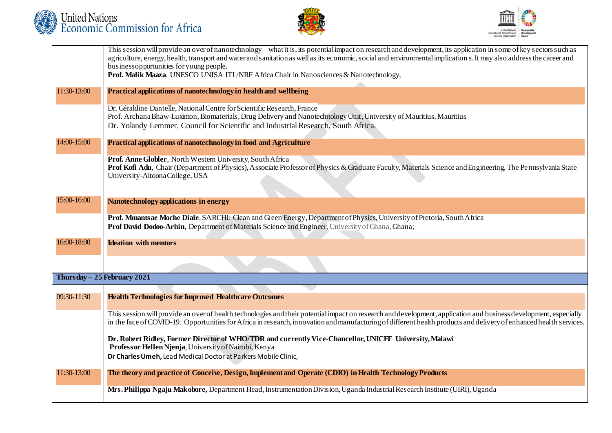





|             | This session will provide an over of nanotechnology – what it is, its potential impact on research and development, its application in some of key sectors such as  |
|-------------|---------------------------------------------------------------------------------------------------------------------------------------------------------------------|
|             | agriculture, energy, health, transport and water and sanitation as well as its economic, social and environmental implication s. It may also address the career and |
|             | business opportunities for young people.                                                                                                                            |
|             | Prof. Malik Maaza, UNESCO UNISA ITL/NRF Africa Chair in Nanosciences & Nanotechnology,                                                                              |
|             |                                                                                                                                                                     |
| 11:30-13:00 | Practical applications of nanotechnology in health and wellbeing                                                                                                    |
|             | Dr. Géraldine Dantelle, National Centre for Scientific Research, France                                                                                             |
|             | Prof. Archana Bhaw-Luximon, Biomaterials, Drug Delivery and Nanotechnology Unit, University of Mauritius, Mauritius                                                 |
|             | Dr. Yolandy Lemmer, Council for Scientific and Industrial Research, South Africa.                                                                                   |
|             |                                                                                                                                                                     |
| 14:00-15:00 | Practical applications of nanotechnology in food and Agriculture                                                                                                    |
|             |                                                                                                                                                                     |
|             | Prof. Anne Globler, North Western University, South Africa                                                                                                          |
|             | Prof Kofi Adu, Chair (Department of Physics), Associate Professor of Physics & Graduate Faculty, Materials Science and Engineering, The Pennsylvania State          |
|             | University-AltoonaCollege, USA                                                                                                                                      |
|             |                                                                                                                                                                     |
|             |                                                                                                                                                                     |
| 15:00-16:00 | Nanotechnology applications in energy                                                                                                                               |
|             |                                                                                                                                                                     |
|             | Prof. Mmants ae Moche Diale, SARCHI: Clean and Green Energy, Department of Physics, University of Pretoria, South Africa                                            |
|             | Prof David Dodoo-Arhin, Department of Materials Science and Engineer, University of Ghana, Ghana;                                                                   |
| 16:00-18:00 | <b>Ideation with mentors</b>                                                                                                                                        |
|             |                                                                                                                                                                     |
|             |                                                                                                                                                                     |
|             |                                                                                                                                                                     |
|             | Thursday $-25$ February 2021                                                                                                                                        |
|             |                                                                                                                                                                     |
| 09:30-11:30 | <b>Health Technologies for Improved Healthcare Outcomes</b>                                                                                                         |
|             |                                                                                                                                                                     |
|             | This session will provide an over of health technologies and their potential impact on research and development, application and business development, especially   |
|             | in the face of COVID-19. Opportunities for Africa in research, innovation and manufacturing of different health products and delivery of enhanced health services.  |
|             |                                                                                                                                                                     |
|             | Dr. Robert Ridley, Former Director of WHO/TDR and currently Vice-Chancellor, UNICEF University, Malawi                                                              |
|             | Professor Hellen Njenja, University of Nairobi, Kenya                                                                                                               |
|             | Dr Charles Umeh, Lead Medical Doctor at Parkers Mobile Clinic,                                                                                                      |
|             |                                                                                                                                                                     |
| 11:30-13:00 | The theory and practice of Conceive, Design, Implement and Operate (CDIO) in Health Technology Products                                                             |
|             |                                                                                                                                                                     |
|             | Mrs. Philippa Ngaju Makobore, Department Head, Instrumentation Division, Uganda Industrial Research Institute (UIRI), Uganda                                        |
|             |                                                                                                                                                                     |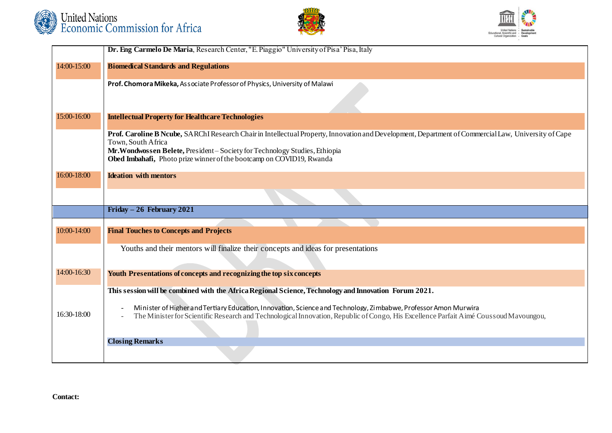





|             | Dr. Eng Carmelo De Maria, Research Center, "E. Piaggio" University of Pisa' Pisa, Italy                                                                                                                                                                                                                                         |
|-------------|---------------------------------------------------------------------------------------------------------------------------------------------------------------------------------------------------------------------------------------------------------------------------------------------------------------------------------|
| 14:00-15:00 | <b>Biomedical Standards and Regulations</b>                                                                                                                                                                                                                                                                                     |
|             | Prof. Chomora Mikeka, Associate Professor of Physics, University of Malawi                                                                                                                                                                                                                                                      |
| 15:00-16:00 | <b>Intellectual Property for Healthcare Technologies</b>                                                                                                                                                                                                                                                                        |
|             | Prof. Caroline B Ncube, SARChI Research Chair in Intellectual Property, Innovation and Development, Department of Commercial Law, University of Cape<br>Town, South Africa<br>Mr. Wondwossen Belete, President-Society for Technology Studies, Ethiopia<br>Obed Imbahafi, Photo prize winner of the bootcamp on COVID19, Rwanda |
| 16:00-18:00 | <b>Ideation with mentors</b>                                                                                                                                                                                                                                                                                                    |
|             |                                                                                                                                                                                                                                                                                                                                 |
|             | Friday $-26$ February 2021                                                                                                                                                                                                                                                                                                      |
|             |                                                                                                                                                                                                                                                                                                                                 |
| 10:00-14:00 | <b>Final Touches to Concepts and Projects</b>                                                                                                                                                                                                                                                                                   |
|             | Youths and their mentors will finalize their concepts and ideas for presentations                                                                                                                                                                                                                                               |
| 14:00-16:30 | Youth Presentations of concepts and recognizing the top six concepts                                                                                                                                                                                                                                                            |
|             | This session will be combined with the Africa Regional Science, Technology and Innovation Forum 2021.                                                                                                                                                                                                                           |
| 16:30-18:00 | Minister of Higher and Tertiary Education, Innovation, Science and Technology, Zimbabwe, Professor Amon Murwira<br>The Minister for Scientific Research and Technological Innovation, Republic of Congo, His Excellence Parfait Aimé Coussoud Mavoungou,                                                                        |
|             | <b>Closing Remarks</b>                                                                                                                                                                                                                                                                                                          |